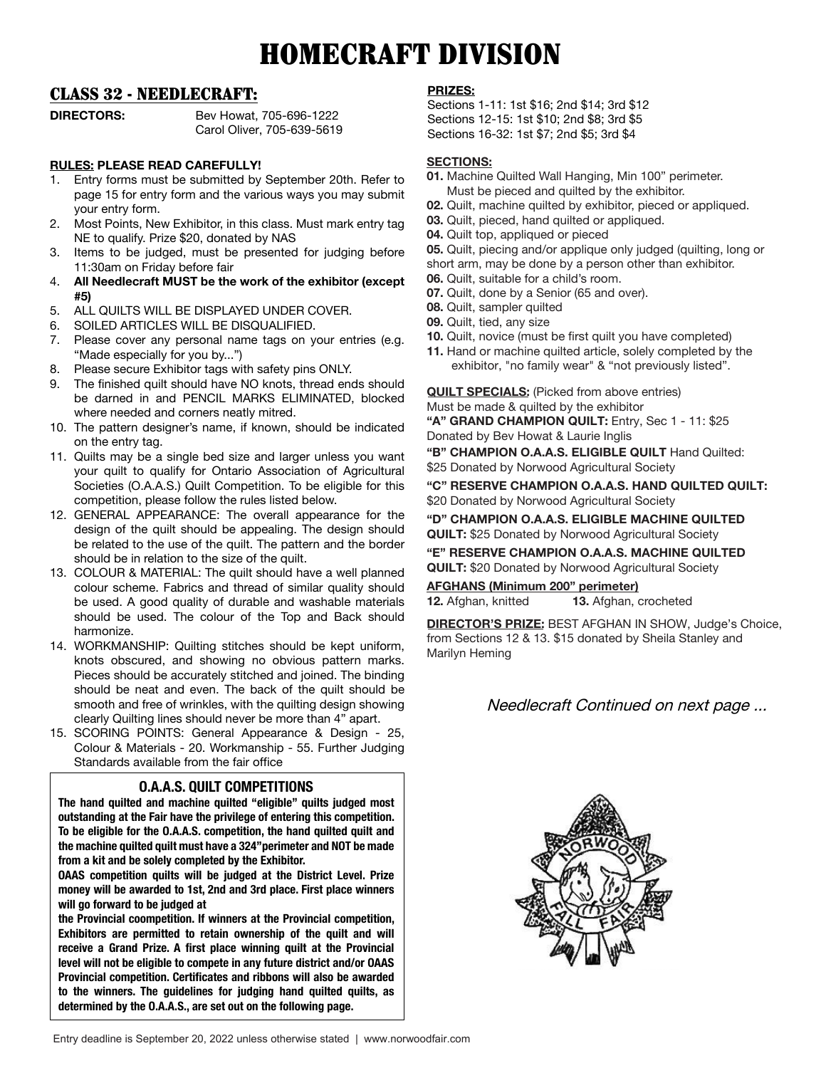# HOMECRAFT DIVISION

## CLASS 32 - NEEDLECRAFT:

**DIRECTORS:** Bev Howat, 705-696-1222 Carol Oliver, 705-639-5619

## **RULES: PLEASE READ CAREFULLY!**

- 1. Entry forms must be submitted by September 20th. Refer to page 15 for entry form and the various ways you may submit your entry form.
- 2. Most Points, New Exhibitor, in this class. Must mark entry tag NE to qualify. Prize \$20, donated by NAS
- 3. Items to be judged, must be presented for judging before 11:30am on Friday before fair
- 4. **All Needlecraft MUST be the work of the exhibitor (except #5)**
- 5. ALL QUILTS WILL BE DISPLAYED UNDER COVER.
- 6. SOILED ARTICLES WILL BE DISQUALIFIED.
- 7. Please cover any personal name tags on your entries (e.g. "Made especially for you by...")
- 8. Please secure Exhibitor tags with safety pins ONLY.
- 9. The finished quilt should have NO knots, thread ends should be darned in and PENCIL MARKS ELIMINATED, blocked where needed and corners neatly mitred.
- 10. The pattern designer's name, if known, should be indicated on the entry tag.
- 11. Quilts may be a single bed size and larger unless you want your quilt to qualify for Ontario Association of Agricultural Societies (O.A.A.S.) Quilt Competition. To be eligible for this competition, please follow the rules listed below.
- 12. GENERAL APPEARANCE: The overall appearance for the design of the quilt should be appealing. The design should be related to the use of the quilt. The pattern and the border should be in relation to the size of the quilt.
- 13. COLOUR & MATERIAL: The quilt should have a well planned colour scheme. Fabrics and thread of similar quality should be used. A good quality of durable and washable materials should be used. The colour of the Top and Back should harmonize.
- 14. WORKMANSHIP: Quilting stitches should be kept uniform, knots obscured, and showing no obvious pattern marks. Pieces should be accurately stitched and joined. The binding should be neat and even. The back of the quilt should be smooth and free of wrinkles, with the quilting design showing clearly Quilting lines should never be more than 4" apart.
- 15. SCORING POINTS: General Appearance & Design 25, Colour & Materials - 20. Workmanship - 55. Further Judging Standards available from the fair office

### **O.A.A.S. QUILT COMPETITIONS**

**The hand quilted and machine quilted "eligible" quilts judged most outstanding at the Fair have the privilege of entering this competition. To be eligible for the O.A.A.S. competition, the hand quilted quilt and the machine quilted quilt must have a 324"perimeter and NOT be made from a kit and be solely completed by the Exhibitor.**

**OAAS competition quilts will be judged at the District Level. Prize money will be awarded to 1st, 2nd and 3rd place. First place winners will go forward to be judged at**

**the Provincial coompetition. If winners at the Provincial competition, Exhibitors are permitted to retain ownership of the quilt and will receive a Grand Prize. A first place winning quilt at the Provincial level will not be eligible to compete in any future district and/or OAAS Provincial competition. Certificates and ribbons will also be awarded to the winners. The guidelines for judging hand quilted quilts, as determined by the O.A.A.S., are set out on the following page.**

#### **PRIZES:**

Sections 1-11: 1st \$16; 2nd \$14; 3rd \$12 Sections 12-15: 1st \$10; 2nd \$8; 3rd \$5 Sections 16-32: 1st \$7; 2nd \$5; 3rd \$4

#### **SECTIONS:**

- **01.** Machine Quilted Wall Hanging, Min 100" perimeter. Must be pieced and quilted by the exhibitor.
- **02.** Quilt, machine quilted by exhibitor, pieced or appliqued.
- **03.** Quilt, pieced, hand quilted or appliqued.
- **04.** Quilt top, appliqued or pieced
- **05.** Quilt, piecing and/or applique only judged (quilting, long or
- short arm, may be done by a person other than exhibitor.
- **06.** Quilt, suitable for a child's room.
- **07.** Quilt, done by a Senior (65 and over).
- **08.** Quilt, sampler quilted
- **09.** Quilt, tied, any size
- **10.** Quilt, novice (must be first quilt you have completed)
- **11.** Hand or machine quilted article, solely completed by the exhibitor, "no family wear" & "not previously listed".

**QUILT SPECIALS:** (Picked from above entries) Must be made & quilted by the exhibitor **"A" GRAND CHAMPION QUILT:** Entry, Sec 1 - 11: \$25 Donated by Bev Howat & Laurie Inglis

**"B" CHAMPION O.A.A.S. ELIGIBLE QUILT** Hand Quilted: \$25 Donated by Norwood Agricultural Society

**"C" RESERVE CHAMPION O.A.A.S. HAND QUILTED QUILT:**  \$20 Donated by Norwood Agricultural Society

**"D" CHAMPION O.A.A.S. ELIGIBLE MACHINE QUILTED QUILT:** \$25 Donated by Norwood Agricultural Society

**"E" RESERVE CHAMPION O.A.A.S. MACHINE QUILTED QUILT:** \$20 Donated by Norwood Agricultural Society

**AFGHANS (Minimum 200" perimeter) 12.** Afghan, knitted **13.** Afghan, crocheted

**DIRECTOR'S PRIZE:** BEST AFGHAN IN SHOW, Judge's Choice, from Sections 12 & 13. \$15 donated by Sheila Stanley and Marilyn Heming

## Needlecraft Continued on next page ...